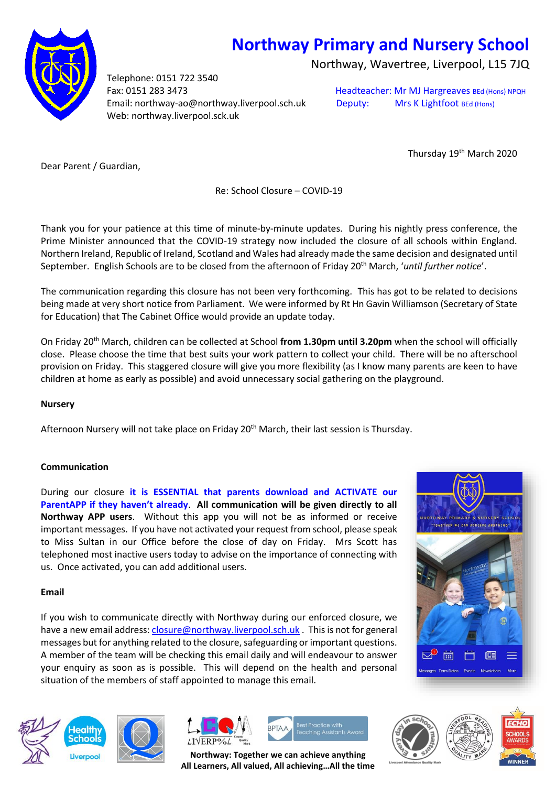# **Northway Primary and Nursery School**

Northway, Wavertree, Liverpool, L15 7JQ

Telephone: 0151 722 3540 Fax: 0151 283 3473 **Fax: 0151 283 3473** Headteacher: Mr MJ Hargreaves BEd (Hons) NPQH Email: northway-ao@northway.liverpool.sch.uk Deputy: Mrs K Lightfoot BEd (Hons) Web: northway.liverpool.sck.uk

Thursday 19<sup>th</sup> March 2020

Dear Parent / Guardian,

Re: School Closure – COVID-19

Thank you for your patience at this time of minute-by-minute updates. During his nightly press conference, the Prime Minister announced that the COVID-19 strategy now included the closure of all schools within England. Northern Ireland, Republic of Ireland, Scotland and Wales had already made the same decision and designated until September. English Schools are to be closed from the afternoon of Friday 20th March, '*until further notice*'.

The communication regarding this closure has not been very forthcoming. This has got to be related to decisions being made at very short notice from Parliament. We were informed by Rt Hn Gavin Williamson (Secretary of State for Education) that The Cabinet Office would provide an update today.

On Friday 20th March, children can be collected at School **from 1.30pm until 3.20pm** when the school will officially close. Please choose the time that best suits your work pattern to collect your child. There will be no afterschool provision on Friday. This staggered closure will give you more flexibility (as I know many parents are keen to have children at home as early as possible) and avoid unnecessary social gathering on the playground.

# **Nursery**

Afternoon Nursery will not take place on Friday 20<sup>th</sup> March, their last session is Thursday.

# **Communication**

During our closure **it is ESSENTIAL that parents download and ACTIVATE our ParentAPP if they haven't already**. **All communication will be given directly to all Northway APP users**. Without this app you will not be as informed or receive important messages. If you have not activated your request from school, please speak to Miss Sultan in our Office before the close of day on Friday. Mrs Scott has telephoned most inactive users today to advise on the importance of connecting with us. Once activated, you can add additional users.

# **Email**

If you wish to communicate directly with Northway during our enforced closure, we have a new email address[: closure@northway.liverpool.sch.uk](mailto:closure@northway.liverpool.sch.uk) . This is not for general messages but for anything related to the closure, safeguarding or important questions. A member of the team will be checking this email daily and will endeavour to answer your enquiry as soon as is possible. This will depend on the health and personal situation of the members of staff appointed to manage this email.











**Northway: Together we can achieve anything All Learners, All valued, All achieving…All the time**

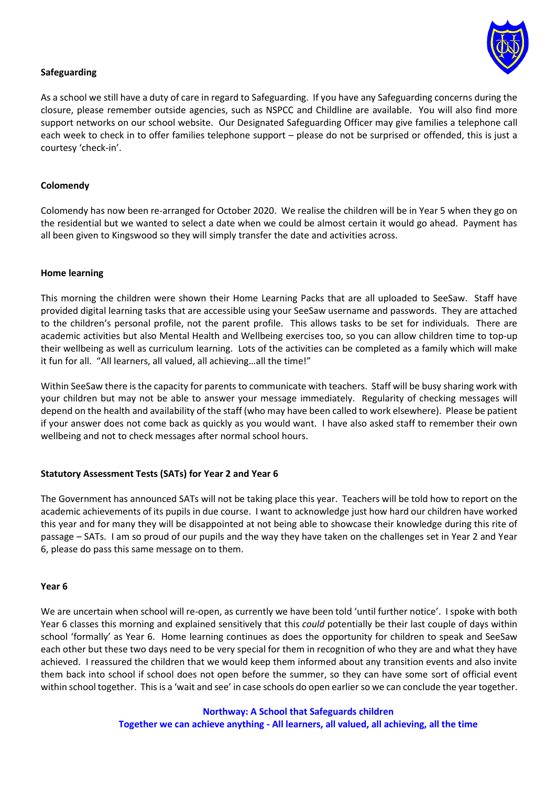

# **Safeguarding**

As a school we still have a duty of care in regard to Safeguarding. If you have any Safeguarding concerns during the closure, please remember outside agencies, such as NSPCC and Childline are available. You will also find more support networks on our school website. Our Designated Safeguarding Officer may give families a telephone call each week to check in to offer families telephone support – please do not be surprised or offended, this is just a courtesy 'check-in'.

#### **Colomendy**

Colomendy has now been re-arranged for October 2020. We realise the children will be in Year 5 when they go on the residential but we wanted to select a date when we could be almost certain it would go ahead. Payment has all been given to Kingswood so they will simply transfer the date and activities across.

#### **Home learning**

This morning the children were shown their Home Learning Packs that are all uploaded to SeeSaw. Staff have provided digital learning tasks that are accessible using your SeeSaw username and passwords. They are attached to the children's personal profile, not the parent profile. This allows tasks to be set for individuals. There are academic activities but also Mental Health and Wellbeing exercises too, so you can allow children time to top-up their wellbeing as well as curriculum learning. Lots of the activities can be completed as a family which will make it fun for all. "All learners, all valued, all achieving…all the time!"

Within SeeSaw there is the capacity for parents to communicate with teachers. Staff will be busy sharing work with your children but may not be able to answer your message immediately. Regularity of checking messages will depend on the health and availability of the staff (who may have been called to work elsewhere). Please be patient if your answer does not come back as quickly as you would want. I have also asked staff to remember their own wellbeing and not to check messages after normal school hours.

# **Statutory Assessment Tests (SATs) for Year 2 and Year 6**

The Government has announced SATs will not be taking place this year. Teachers will be told how to report on the academic achievements of its pupils in due course. I want to acknowledge just how hard our children have worked this year and for many they will be disappointed at not being able to showcase their knowledge during this rite of passage – SATs. I am so proud of our pupils and the way they have taken on the challenges set in Year 2 and Year 6, please do pass this same message on to them.

#### **Year 6**

We are uncertain when school will re-open, as currently we have been told 'until further notice'. I spoke with both Year 6 classes this morning and explained sensitively that this *could* potentially be their last couple of days within school 'formally' as Year 6. Home learning continues as does the opportunity for children to speak and SeeSaw each other but these two days need to be very special for them in recognition of who they are and what they have achieved. I reassured the children that we would keep them informed about any transition events and also invite them back into school if school does not open before the summer, so they can have some sort of official event within school together. This is a 'wait and see' in case schools do open earlier so we can conclude the year together.

> **Northway: A School that Safeguards children Together we can achieve anything - All learners, all valued, all achieving, all the time**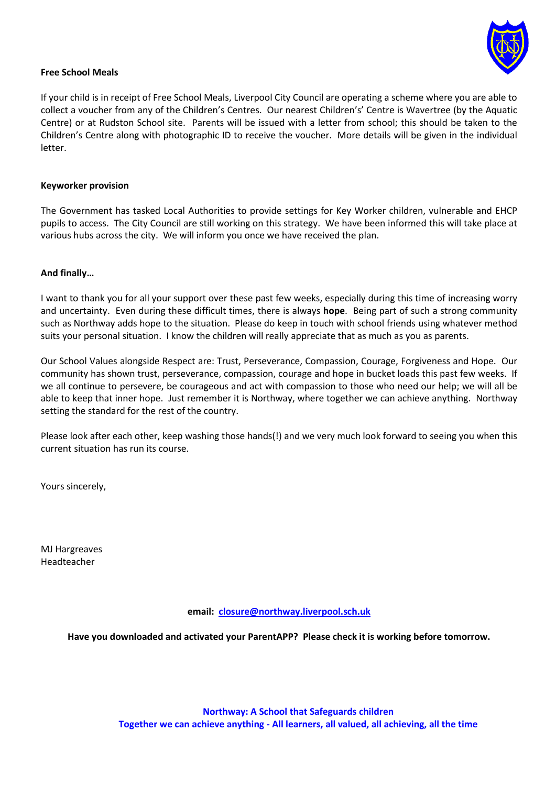

## **Free School Meals**

If your child is in receipt of Free School Meals, Liverpool City Council are operating a scheme where you are able to collect a voucher from any of the Children's Centres. Our nearest Children's' Centre is Wavertree (by the Aquatic Centre) or at Rudston School site. Parents will be issued with a letter from school; this should be taken to the Children's Centre along with photographic ID to receive the voucher. More details will be given in the individual letter.

#### **Keyworker provision**

The Government has tasked Local Authorities to provide settings for Key Worker children, vulnerable and EHCP pupils to access. The City Council are still working on this strategy. We have been informed this will take place at various hubs across the city. We will inform you once we have received the plan.

## **And finally…**

I want to thank you for all your support over these past few weeks, especially during this time of increasing worry and uncertainty. Even during these difficult times, there is always **hope**. Being part of such a strong community such as Northway adds hope to the situation. Please do keep in touch with school friends using whatever method suits your personal situation. I know the children will really appreciate that as much as you as parents.

Our School Values alongside Respect are: Trust, Perseverance, Compassion, Courage, Forgiveness and Hope. Our community has shown trust, perseverance, compassion, courage and hope in bucket loads this past few weeks. If we all continue to persevere, be courageous and act with compassion to those who need our help; we will all be able to keep that inner hope. Just remember it is Northway, where together we can achieve anything. Northway setting the standard for the rest of the country.

Please look after each other, keep washing those hands(!) and we very much look forward to seeing you when this current situation has run its course.

Yours sincerely,

MJ Hargreaves Headteacher

**email: [closure@northway.liverpool.sch.uk](mailto:closure@northway.liverpool.sch.uk)**

**Have you downloaded and activated your ParentAPP? Please check it is working before tomorrow.**